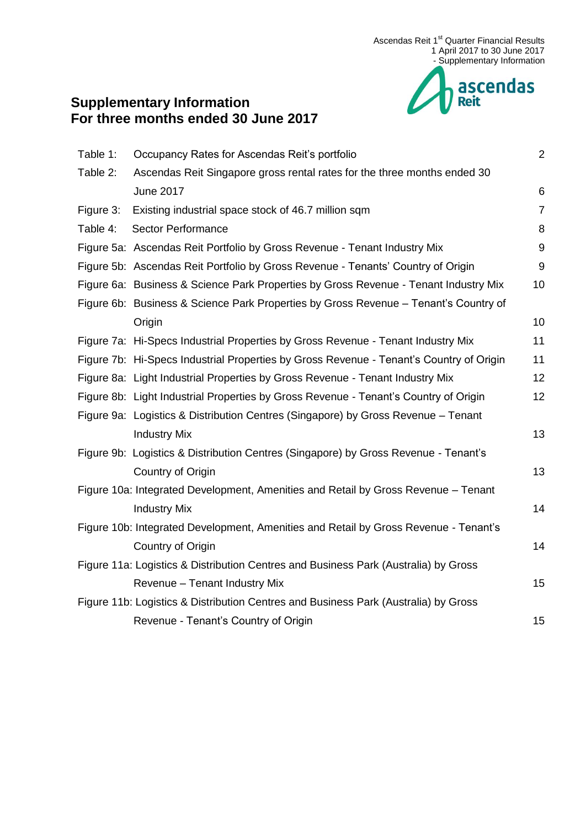

## **Supplementary Information For three months ended 30 June 2017**

| Table 1:  | Occupancy Rates for Ascendas Reit's portfolio                                           | $\overline{2}$ |
|-----------|-----------------------------------------------------------------------------------------|----------------|
| Table 2:  | Ascendas Reit Singapore gross rental rates for the three months ended 30                |                |
|           | <b>June 2017</b>                                                                        | 6              |
| Figure 3: | Existing industrial space stock of 46.7 million sqm                                     | $\overline{7}$ |
| Table 4:  | <b>Sector Performance</b>                                                               | 8              |
|           | Figure 5a: Ascendas Reit Portfolio by Gross Revenue - Tenant Industry Mix               | 9              |
|           | Figure 5b: Ascendas Reit Portfolio by Gross Revenue - Tenants' Country of Origin        | 9              |
|           | Figure 6a: Business & Science Park Properties by Gross Revenue - Tenant Industry Mix    | 10             |
|           | Figure 6b: Business & Science Park Properties by Gross Revenue – Tenant's Country of    |                |
|           | Origin                                                                                  | 10             |
|           | Figure 7a: Hi-Specs Industrial Properties by Gross Revenue - Tenant Industry Mix        | 11             |
|           | Figure 7b: Hi-Specs Industrial Properties by Gross Revenue - Tenant's Country of Origin | 11             |
|           | Figure 8a: Light Industrial Properties by Gross Revenue - Tenant Industry Mix           | 12             |
|           | Figure 8b: Light Industrial Properties by Gross Revenue - Tenant's Country of Origin    | 12             |
|           | Figure 9a: Logistics & Distribution Centres (Singapore) by Gross Revenue – Tenant       |                |
|           | <b>Industry Mix</b>                                                                     | 13             |
|           | Figure 9b: Logistics & Distribution Centres (Singapore) by Gross Revenue - Tenant's     |                |
|           | Country of Origin                                                                       | 13             |
|           | Figure 10a: Integrated Development, Amenities and Retail by Gross Revenue - Tenant      |                |
|           | <b>Industry Mix</b>                                                                     | 14             |
|           | Figure 10b: Integrated Development, Amenities and Retail by Gross Revenue - Tenant's    |                |
|           | Country of Origin                                                                       | 14             |
|           | Figure 11a: Logistics & Distribution Centres and Business Park (Australia) by Gross     |                |
|           | Revenue - Tenant Industry Mix                                                           | 15             |
|           | Figure 11b: Logistics & Distribution Centres and Business Park (Australia) by Gross     |                |
|           | Revenue - Tenant's Country of Origin                                                    | 15             |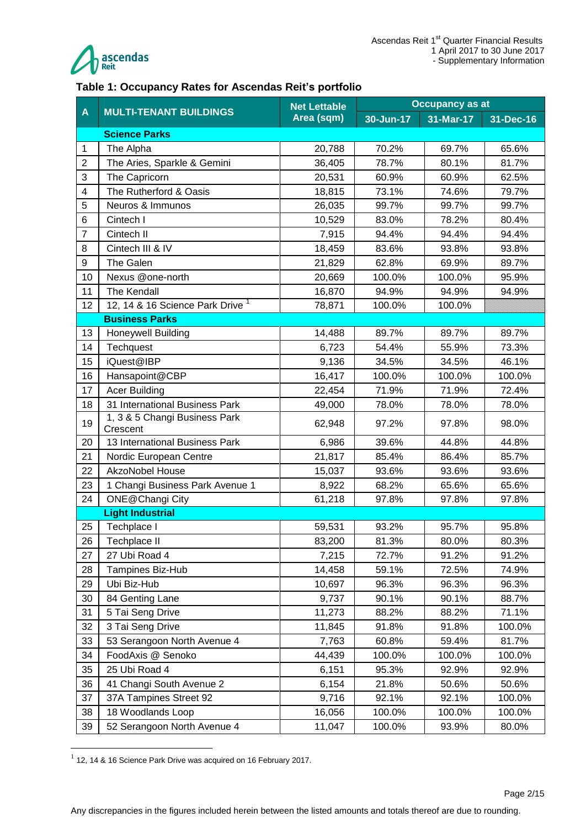

#### <span id="page-1-0"></span>**Table 1: Occupancy Rates for Ascendas Reit's portfolio**

|                |                                             | <b>Occupancy as at</b><br><b>Net Lettable</b> |           |             |           |  |  |  |
|----------------|---------------------------------------------|-----------------------------------------------|-----------|-------------|-----------|--|--|--|
| A              | <b>MULTI-TENANT BUILDINGS</b>               | Area (sqm)                                    | 30-Jun-17 | $31-Mar-17$ | 31-Dec-16 |  |  |  |
|                | <b>Science Parks</b>                        |                                               |           |             |           |  |  |  |
| $\mathbf{1}$   | The Alpha                                   | 20,788                                        | 70.2%     | 69.7%       | 65.6%     |  |  |  |
| $\overline{2}$ | The Aries, Sparkle & Gemini                 | 36,405                                        | 78.7%     | 80.1%       | 81.7%     |  |  |  |
| 3              | The Capricorn                               | 20,531                                        | 60.9%     | 60.9%       | 62.5%     |  |  |  |
| $\overline{4}$ | The Rutherford & Oasis                      | 18,815                                        | 73.1%     | 74.6%       | 79.7%     |  |  |  |
| 5              | Neuros & Immunos                            | 26,035                                        | 99.7%     | 99.7%       | 99.7%     |  |  |  |
| 6              | Cintech I                                   | 10,529                                        | 83.0%     | 78.2%       | 80.4%     |  |  |  |
| $\overline{7}$ | Cintech II                                  | 7,915                                         | 94.4%     | 94.4%       | 94.4%     |  |  |  |
| 8              | Cintech III & IV                            | 18,459                                        | 83.6%     | 93.8%       | 93.8%     |  |  |  |
| 9              | The Galen                                   | 21,829                                        | 62.8%     | 69.9%       | 89.7%     |  |  |  |
| 10             | Nexus @one-north                            | 20,669                                        | 100.0%    | 100.0%      | 95.9%     |  |  |  |
| 11             | The Kendall                                 | 16,870                                        | 94.9%     | 94.9%       | 94.9%     |  |  |  |
| 12             | 12, 14 & 16 Science Park Drive <sup>1</sup> | 78,871                                        | 100.0%    | 100.0%      |           |  |  |  |
|                | <b>Business Parks</b>                       |                                               |           |             |           |  |  |  |
| 13             | <b>Honeywell Building</b>                   | 14,488                                        | 89.7%     | 89.7%       | 89.7%     |  |  |  |
| 14             | Techquest                                   | 6,723                                         | 54.4%     | 55.9%       | 73.3%     |  |  |  |
| 15             | iQuest@IBP                                  | 9,136                                         | 34.5%     | 34.5%       | 46.1%     |  |  |  |
| 16             | Hansapoint@CBP                              | 16,417                                        | 100.0%    | 100.0%      | 100.0%    |  |  |  |
| 17             | <b>Acer Building</b>                        | 22,454                                        | 71.9%     | 71.9%       | 72.4%     |  |  |  |
| 18             | 31 International Business Park              | 49,000                                        | 78.0%     | 78.0%       | 78.0%     |  |  |  |
| 19             | 1, 3 & 5 Changi Business Park<br>Crescent   | 62,948                                        | 97.2%     | 97.8%       | 98.0%     |  |  |  |
| 20             | 13 International Business Park              | 6,986                                         | 39.6%     | 44.8%       | 44.8%     |  |  |  |
| 21             | Nordic European Centre                      | 21,817                                        | 85.4%     | 86.4%       | 85.7%     |  |  |  |
| 22             | <b>AkzoNobel House</b>                      | 15,037                                        | 93.6%     | 93.6%       | 93.6%     |  |  |  |
| 23             | 1 Changi Business Park Avenue 1             | 8,922                                         | 68.2%     | 65.6%       | 65.6%     |  |  |  |
| 24             | ONE@Changi City                             | 61,218                                        | 97.8%     | 97.8%       | 97.8%     |  |  |  |
|                | <b>Light Industrial</b>                     |                                               |           |             |           |  |  |  |
| 25             | Techplace I                                 | 59,531                                        | 93.2%     | 95.7%       | 95.8%     |  |  |  |
| 26             | Techplace II                                | 83,200                                        | 81.3%     | 80.0%       | 80.3%     |  |  |  |
| 27             | 27 Ubi Road 4                               | 7,215                                         | 72.7%     | 91.2%       | 91.2%     |  |  |  |
| 28             | Tampines Biz-Hub                            | 14,458                                        | 59.1%     | 72.5%       | 74.9%     |  |  |  |
| 29             | Ubi Biz-Hub                                 | 10,697                                        | 96.3%     | 96.3%       | 96.3%     |  |  |  |
| 30             | 84 Genting Lane                             | 9,737                                         | 90.1%     | 90.1%       | 88.7%     |  |  |  |
| 31             | 5 Tai Seng Drive                            | 11,273                                        | 88.2%     | 88.2%       | 71.1%     |  |  |  |
| 32             | 3 Tai Seng Drive                            | 11,845                                        | 91.8%     | 91.8%       | 100.0%    |  |  |  |
| 33             | 53 Serangoon North Avenue 4                 | 7,763                                         | 60.8%     | 59.4%       | 81.7%     |  |  |  |
| 34             | FoodAxis @ Senoko                           | 44,439                                        | 100.0%    | 100.0%      | 100.0%    |  |  |  |
| 35             | 25 Ubi Road 4                               | 6,151                                         | 95.3%     | 92.9%       | 92.9%     |  |  |  |
| 36             | 41 Changi South Avenue 2                    | 6,154                                         | 21.8%     | 50.6%       | 50.6%     |  |  |  |
| 37             | 37A Tampines Street 92                      | 9,716                                         | 92.1%     | 92.1%       | 100.0%    |  |  |  |
| 38             | 18 Woodlands Loop                           | 16,056                                        | 100.0%    | 100.0%      | 100.0%    |  |  |  |
| 39             | 52 Serangoon North Avenue 4                 | 11,047                                        | 100.0%    | 93.9%       | 80.0%     |  |  |  |

 1 12, 14 & 16 Science Park Drive was acquired on 16 February 2017.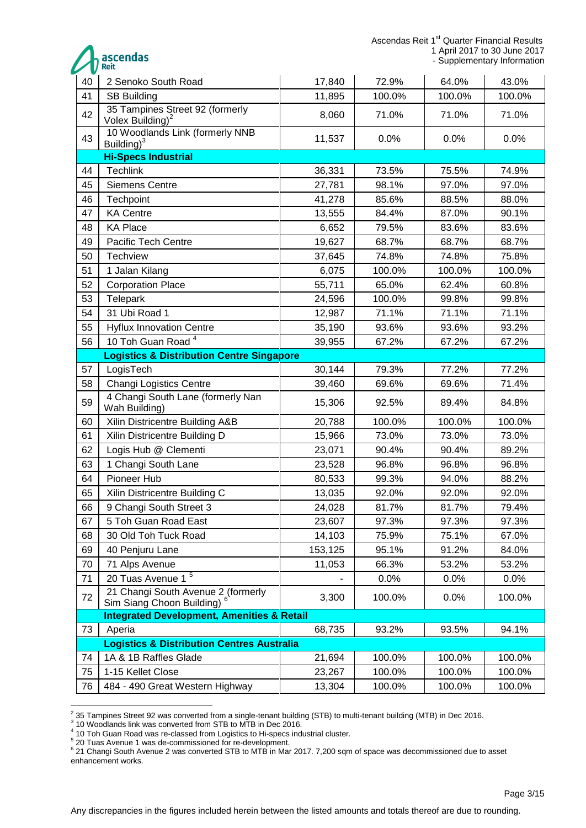ascendas

| v  | <b>TOTA</b>                                                                  |         |        |        |        |  |  |  |
|----|------------------------------------------------------------------------------|---------|--------|--------|--------|--|--|--|
| 40 | 2 Senoko South Road                                                          | 17,840  | 72.9%  | 64.0%  | 43.0%  |  |  |  |
| 41 | <b>SB Building</b>                                                           | 11,895  | 100.0% | 100.0% | 100.0% |  |  |  |
| 42 | 35 Tampines Street 92 (formerly<br>Volex Building) $^2$                      | 8,060   | 71.0%  | 71.0%  | 71.0%  |  |  |  |
| 43 | 10 Woodlands Link (formerly NNB<br>Building) <sup>3</sup>                    | 11,537  | 0.0%   | 0.0%   | 0.0%   |  |  |  |
|    | <b>Hi-Specs Industrial</b>                                                   |         |        |        |        |  |  |  |
| 44 | <b>Techlink</b>                                                              | 36,331  | 73.5%  | 75.5%  | 74.9%  |  |  |  |
| 45 | <b>Siemens Centre</b>                                                        | 27,781  | 98.1%  | 97.0%  | 97.0%  |  |  |  |
| 46 | Techpoint                                                                    | 41,278  | 85.6%  | 88.5%  | 88.0%  |  |  |  |
| 47 | <b>KA Centre</b>                                                             | 13,555  | 84.4%  | 87.0%  | 90.1%  |  |  |  |
| 48 | <b>KA Place</b>                                                              | 6,652   | 79.5%  | 83.6%  | 83.6%  |  |  |  |
| 49 | Pacific Tech Centre                                                          | 19,627  | 68.7%  | 68.7%  | 68.7%  |  |  |  |
| 50 | <b>Techview</b>                                                              | 37,645  | 74.8%  | 74.8%  | 75.8%  |  |  |  |
| 51 | 1 Jalan Kilang                                                               | 6,075   | 100.0% | 100.0% | 100.0% |  |  |  |
| 52 | <b>Corporation Place</b>                                                     | 55,711  | 65.0%  | 62.4%  | 60.8%  |  |  |  |
| 53 | Telepark                                                                     | 24,596  | 100.0% | 99.8%  | 99.8%  |  |  |  |
| 54 | 31 Ubi Road 1                                                                | 12,987  | 71.1%  | 71.1%  | 71.1%  |  |  |  |
| 55 | <b>Hyflux Innovation Centre</b>                                              | 35,190  | 93.6%  | 93.6%  | 93.2%  |  |  |  |
| 56 | 10 Toh Guan Road <sup>4</sup>                                                | 39,955  | 67.2%  | 67.2%  | 67.2%  |  |  |  |
|    | <b>Logistics &amp; Distribution Centre Singapore</b>                         |         |        |        |        |  |  |  |
| 57 | LogisTech                                                                    | 30,144  | 79.3%  | 77.2%  | 77.2%  |  |  |  |
| 58 | <b>Changi Logistics Centre</b>                                               | 39,460  | 69.6%  | 69.6%  | 71.4%  |  |  |  |
| 59 | 4 Changi South Lane (formerly Nan<br>Wah Building)                           | 15,306  | 92.5%  | 89.4%  | 84.8%  |  |  |  |
| 60 | Xilin Districentre Building A&B                                              | 20,788  | 100.0% | 100.0% | 100.0% |  |  |  |
| 61 | Xilin Districentre Building D                                                | 15,966  | 73.0%  | 73.0%  | 73.0%  |  |  |  |
| 62 | Logis Hub @ Clementi                                                         | 23,071  | 90.4%  | 90.4%  | 89.2%  |  |  |  |
| 63 | 1 Changi South Lane                                                          | 23,528  | 96.8%  | 96.8%  | 96.8%  |  |  |  |
| 64 | Pioneer Hub                                                                  | 80,533  | 99.3%  | 94.0%  | 88.2%  |  |  |  |
| 65 | Xilin Districentre Building C                                                | 13,035  | 92.0%  | 92.0%  | 92.0%  |  |  |  |
| 66 | 9 Changi South Street 3                                                      | 24,028  | 81.7%  | 81.7%  | 79.4%  |  |  |  |
| 67 | 5 Toh Guan Road East                                                         | 23,607  | 97.3%  | 97.3%  | 97.3%  |  |  |  |
| 68 | 30 Old Toh Tuck Road                                                         | 14,103  | 75.9%  | 75.1%  | 67.0%  |  |  |  |
| 69 | 40 Penjuru Lane                                                              | 153,125 | 95.1%  | 91.2%  | 84.0%  |  |  |  |
| 70 | 71 Alps Avenue                                                               | 11,053  | 66.3%  | 53.2%  | 53.2%  |  |  |  |
| 71 | 20 Tuas Avenue 1 <sup>5</sup>                                                |         | 0.0%   | 0.0%   | 0.0%   |  |  |  |
| 72 | 21 Changi South Avenue 2 (formerly<br>Sim Siang Choon Building) <sup>6</sup> | 3,300   | 100.0% | 0.0%   | 100.0% |  |  |  |
|    | <b>Integrated Development, Amenities &amp; Retail</b>                        |         |        |        |        |  |  |  |
| 73 | Aperia                                                                       | 68,735  | 93.2%  | 93.5%  | 94.1%  |  |  |  |
|    | <b>Logistics &amp; Distribution Centres Australia</b>                        |         |        |        |        |  |  |  |
| 74 | 1A & 1B Raffles Glade                                                        | 21,694  | 100.0% | 100.0% | 100.0% |  |  |  |
| 75 | 1-15 Kellet Close                                                            | 23,267  | 100.0% | 100.0% | 100.0% |  |  |  |
| 76 | 484 - 490 Great Western Highway                                              | 13,304  | 100.0% | 100.0% | 100.0% |  |  |  |

 2 35 Tampines Street 92 was converted from a single-tenant building (STB) to multi-tenant building (MTB) in Dec 2016.

 $^3$  10 Woodlands link was converted from STB to MTB in Dec 2016.<br><sup>4</sup> 10 Toh Guan Road was re-classed from Logistics to Hi-specs industrial cluster.

<sup>&</sup>lt;sup>5</sup> 20 Tuas Avenue 1 was de-commissioned for re-development.

<sup>&</sup>lt;sup>6</sup> 21 Changi South Avenue 2 was converted STB to MTB in Mar 2017. 7,200 sqm of space was decommissioned due to asset enhancement works.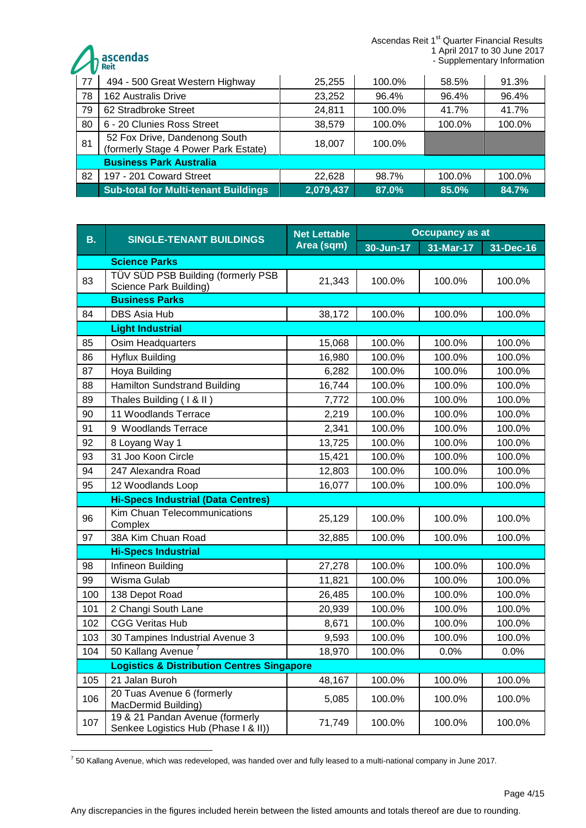Ascendas Reit 1<sup>st</sup> Quarter Financial Results 1 April 2017 to 30 June 2017 - Supplementary Information



| 77 | 494 - 500 Great Western Highway                                       | 25,255    | 100.0% | 58.5%  | 91.3%  |  |  |
|----|-----------------------------------------------------------------------|-----------|--------|--------|--------|--|--|
| 78 | 162 Australis Drive                                                   | 23,252    | 96.4%  | 96.4%  | 96.4%  |  |  |
| 79 | 62 Stradbroke Street                                                  | 24,811    | 100.0% | 41.7%  | 41.7%  |  |  |
| 80 | 6 - 20 Clunies Ross Street                                            | 38,579    | 100.0% | 100.0% | 100.0% |  |  |
| 81 | 52 Fox Drive, Dandenong South<br>(formerly Stage 4 Power Park Estate) | 18.007    | 100.0% |        |        |  |  |
|    | <b>Business Park Australia</b>                                        |           |        |        |        |  |  |
| 82 | 197 - 201 Coward Street                                               | 22.628    | 98.7%  | 100.0% | 100.0% |  |  |
|    | <b>Sub-total for Multi-tenant Buildings</b>                           | 2,079,437 | 87.0%  | 85.0%  | 84.7%  |  |  |

| В.  | <b>SINGLE-TENANT BUILDINGS</b>                                          | <b>Net Lettable</b> | <b>Occupancy as at</b> |             |           |  |  |
|-----|-------------------------------------------------------------------------|---------------------|------------------------|-------------|-----------|--|--|
|     |                                                                         | Area (sqm)          | 30-Jun-17              | $31-Mar-17$ | 31-Dec-16 |  |  |
|     | <b>Science Parks</b>                                                    |                     |                        |             |           |  |  |
| 83  | TÜV SÜD PSB Building (formerly PSB<br>Science Park Building)            | 21,343              | 100.0%                 | 100.0%      | 100.0%    |  |  |
|     | <b>Business Parks</b>                                                   |                     |                        |             |           |  |  |
| 84  | <b>DBS Asia Hub</b>                                                     | 38,172              | 100.0%                 | 100.0%      | 100.0%    |  |  |
|     | <b>Light Industrial</b>                                                 |                     |                        |             |           |  |  |
| 85  | <b>Osim Headquarters</b>                                                | 15,068              | 100.0%                 | 100.0%      | 100.0%    |  |  |
| 86  | <b>Hyflux Building</b>                                                  | 16,980              | 100.0%                 | 100.0%      | 100.0%    |  |  |
| 87  | Hoya Building                                                           | 6,282               | 100.0%                 | 100.0%      | 100.0%    |  |  |
| 88  | <b>Hamilton Sundstrand Building</b>                                     | 16,744              | 100.0%                 | 100.0%      | 100.0%    |  |  |
| 89  | Thales Building (1 & II)                                                | 7,772               | 100.0%                 | 100.0%      | 100.0%    |  |  |
| 90  | 11 Woodlands Terrace                                                    | 2,219               | 100.0%                 | 100.0%      | 100.0%    |  |  |
| 91  | 9 Woodlands Terrace                                                     | 2,341               | 100.0%                 | 100.0%      | 100.0%    |  |  |
| 92  | 8 Loyang Way 1                                                          | 13,725              | 100.0%                 | 100.0%      | 100.0%    |  |  |
| 93  | 31 Joo Koon Circle                                                      | 15,421              | 100.0%                 | 100.0%      | 100.0%    |  |  |
| 94  | 247 Alexandra Road                                                      | 12,803              | 100.0%                 | 100.0%      | 100.0%    |  |  |
| 95  | 12 Woodlands Loop                                                       | 16,077              | 100.0%                 | 100.0%      | 100.0%    |  |  |
|     | <b>Hi-Specs Industrial (Data Centres)</b>                               |                     |                        |             |           |  |  |
| 96  | Kim Chuan Telecommunications<br>Complex                                 | 25,129              | 100.0%                 | 100.0%      | 100.0%    |  |  |
| 97  | 38A Kim Chuan Road                                                      | 32,885              | 100.0%                 | 100.0%      | 100.0%    |  |  |
|     | <b>Hi-Specs Industrial</b>                                              |                     |                        |             |           |  |  |
| 98  | Infineon Building                                                       | 27,278              | 100.0%                 | 100.0%      | 100.0%    |  |  |
| 99  | Wisma Gulab                                                             | 11,821              | 100.0%                 | 100.0%      | 100.0%    |  |  |
| 100 | 138 Depot Road                                                          | 26,485              | 100.0%                 | 100.0%      | 100.0%    |  |  |
| 101 | 2 Changi South Lane                                                     | 20,939              | 100.0%                 | 100.0%      | 100.0%    |  |  |
| 102 | <b>CGG Veritas Hub</b>                                                  | 8,671               | 100.0%                 | 100.0%      | 100.0%    |  |  |
| 103 | 30 Tampines Industrial Avenue 3                                         | 9,593               | 100.0%                 | 100.0%      | 100.0%    |  |  |
| 104 | 50 Kallang Avenue <sup>7</sup>                                          | 18,970              | 100.0%                 | 0.0%        | 0.0%      |  |  |
|     | <b>Logistics &amp; Distribution Centres Singapore</b>                   |                     |                        |             |           |  |  |
| 105 | 21 Jalan Buroh                                                          | 48,167              | 100.0%                 | 100.0%      | 100.0%    |  |  |
| 106 | 20 Tuas Avenue 6 (formerly<br>MacDermid Building)                       | 5,085               | 100.0%                 | 100.0%      | 100.0%    |  |  |
| 107 | 19 & 21 Pandan Avenue (formerly<br>Senkee Logistics Hub (Phase I & II)) | 71,749              | 100.0%                 | 100.0%      | 100.0%    |  |  |

 7 50 Kallang Avenue, which was redeveloped, was handed over and fully leased to a multi-national company in June 2017.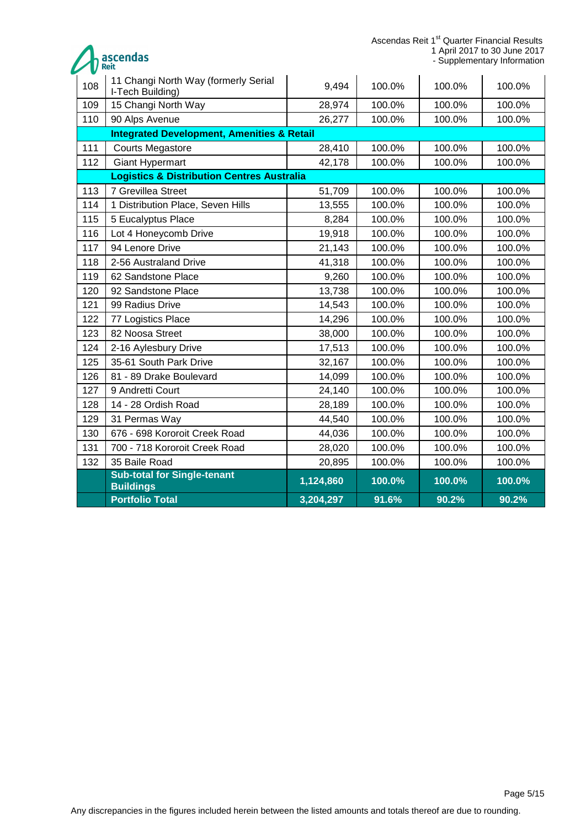$\bigcirc$  ascendas

| 108 | 11 Changi North Way (formerly Serial<br>I-Tech Building) | 9,494     | 100.0% | 100.0% | 100.0% |
|-----|----------------------------------------------------------|-----------|--------|--------|--------|
| 109 | 15 Changi North Way                                      | 28,974    | 100.0% | 100.0% | 100.0% |
| 110 | 90 Alps Avenue                                           | 26,277    | 100.0% | 100.0% | 100.0% |
|     | <b>Integrated Development, Amenities &amp; Retail</b>    |           |        |        |        |
| 111 | <b>Courts Megastore</b>                                  | 28,410    | 100.0% | 100.0% | 100.0% |
| 112 | <b>Giant Hypermart</b>                                   | 42,178    | 100.0% | 100.0% | 100.0% |
|     | <b>Logistics &amp; Distribution Centres Australia</b>    |           |        |        |        |
| 113 | 7 Grevillea Street                                       | 51,709    | 100.0% | 100.0% | 100.0% |
| 114 | 1 Distribution Place, Seven Hills                        | 13,555    | 100.0% | 100.0% | 100.0% |
| 115 | 5 Eucalyptus Place                                       | 8,284     | 100.0% | 100.0% | 100.0% |
| 116 | Lot 4 Honeycomb Drive                                    | 19,918    | 100.0% | 100.0% | 100.0% |
| 117 | 94 Lenore Drive                                          | 21,143    | 100.0% | 100.0% | 100.0% |
| 118 | 2-56 Australand Drive                                    | 41,318    | 100.0% | 100.0% | 100.0% |
| 119 | 62 Sandstone Place                                       | 9,260     | 100.0% | 100.0% | 100.0% |
| 120 | 92 Sandstone Place                                       | 13,738    | 100.0% | 100.0% | 100.0% |
| 121 | 99 Radius Drive                                          | 14,543    | 100.0% | 100.0% | 100.0% |
| 122 | 77 Logistics Place                                       | 14,296    | 100.0% | 100.0% | 100.0% |
| 123 | 82 Noosa Street                                          | 38,000    | 100.0% | 100.0% | 100.0% |
| 124 | 2-16 Aylesbury Drive                                     | 17,513    | 100.0% | 100.0% | 100.0% |
| 125 | 35-61 South Park Drive                                   | 32,167    | 100.0% | 100.0% | 100.0% |
| 126 | 81 - 89 Drake Boulevard                                  | 14,099    | 100.0% | 100.0% | 100.0% |
| 127 | 9 Andretti Court                                         | 24,140    | 100.0% | 100.0% | 100.0% |
| 128 | 14 - 28 Ordish Road                                      | 28,189    | 100.0% | 100.0% | 100.0% |
| 129 | 31 Permas Way                                            | 44,540    | 100.0% | 100.0% | 100.0% |
| 130 | 676 - 698 Kororoit Creek Road                            | 44,036    | 100.0% | 100.0% | 100.0% |
| 131 | 700 - 718 Kororoit Creek Road                            | 28,020    | 100.0% | 100.0% | 100.0% |
| 132 | 35 Baile Road                                            | 20,895    | 100.0% | 100.0% | 100.0% |
|     | <b>Sub-total for Single-tenant</b><br><b>Buildings</b>   | 1,124,860 | 100.0% | 100.0% | 100.0% |
|     | <b>Portfolio Total</b>                                   | 3,204,297 | 91.6%  | 90.2%  | 90.2%  |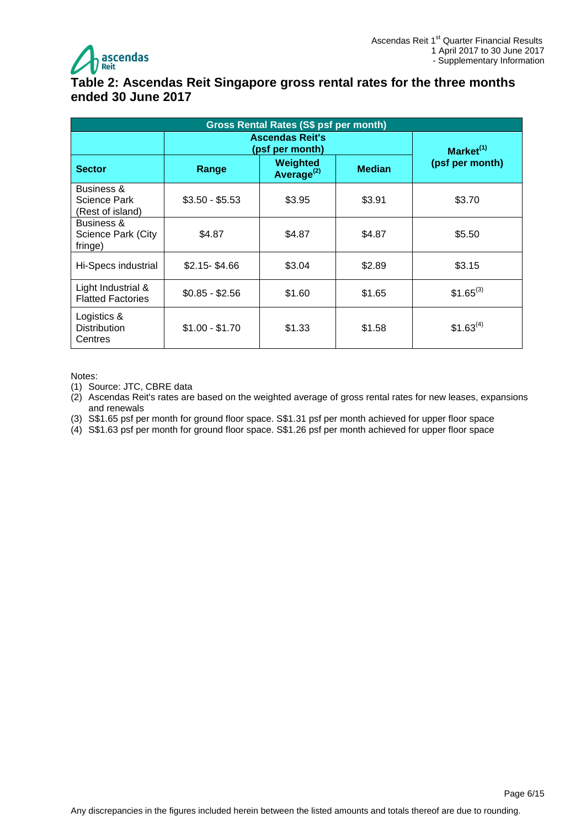

#### <span id="page-5-0"></span>**Table 2: Ascendas Reit Singapore gross rental rates for the three months ended 30 June 2017**

| <b>Gross Rental Rates (S\$ psf per month)</b>  |                 |                                    |               |                 |  |  |
|------------------------------------------------|-----------------|------------------------------------|---------------|-----------------|--|--|
|                                                | Market $(1)$    |                                    |               |                 |  |  |
| <b>Sector</b>                                  | Range           | Weighted<br>Average <sup>(2)</sup> | <b>Median</b> | (psf per month) |  |  |
| Business &<br>Science Park<br>(Rest of island) | $$3.50 - $5.53$ | \$3.95                             | \$3.91        | \$3.70          |  |  |
| Business &<br>Science Park (City<br>fringe)    | \$4.87          | \$4.87                             | \$4.87        | \$5.50          |  |  |
| Hi-Specs industrial                            | $$2.15 - $4.66$ | \$3.04                             | \$2.89        | \$3.15          |  |  |
| Light Industrial &<br><b>Flatted Factories</b> | $$0.85 - $2.56$ | \$1.60                             | \$1.65        | $$1.65^{(3)}$   |  |  |
| Logistics &<br><b>Distribution</b><br>Centres  | $$1.00 - $1.70$ | \$1.33                             | \$1.58        | $$1.63^{(4)}$   |  |  |

Notes:

- (1) Source: JTC, CBRE data
- (2) Ascendas Reit's rates are based on the weighted average of gross rental rates for new leases, expansions and renewals
- (3) S\$1.65 psf per month for ground floor space. S\$1.31 psf per month achieved for upper floor space
- (4) S\$1.63 psf per month for ground floor space. S\$1.26 psf per month achieved for upper floor space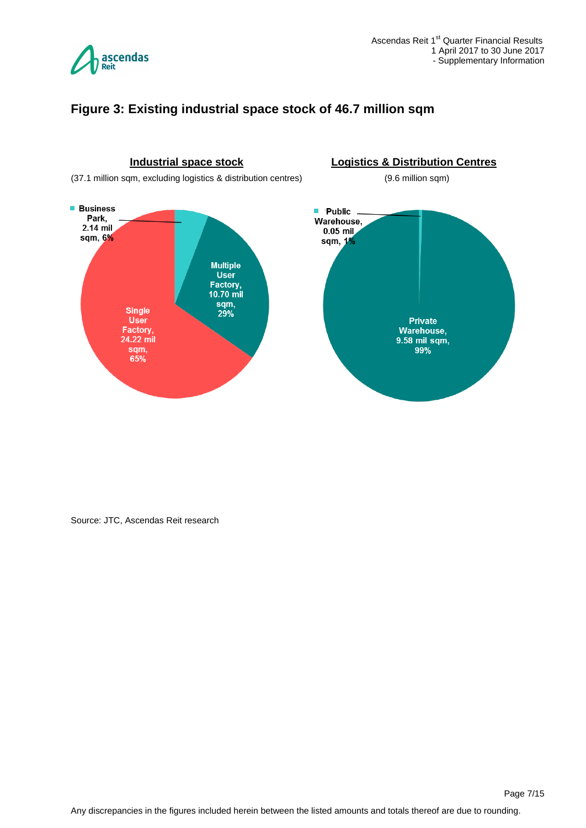

## <span id="page-6-0"></span>**Figure 3: Existing industrial space stock of 46.7 million sqm**



Source: JTC, Ascendas Reit research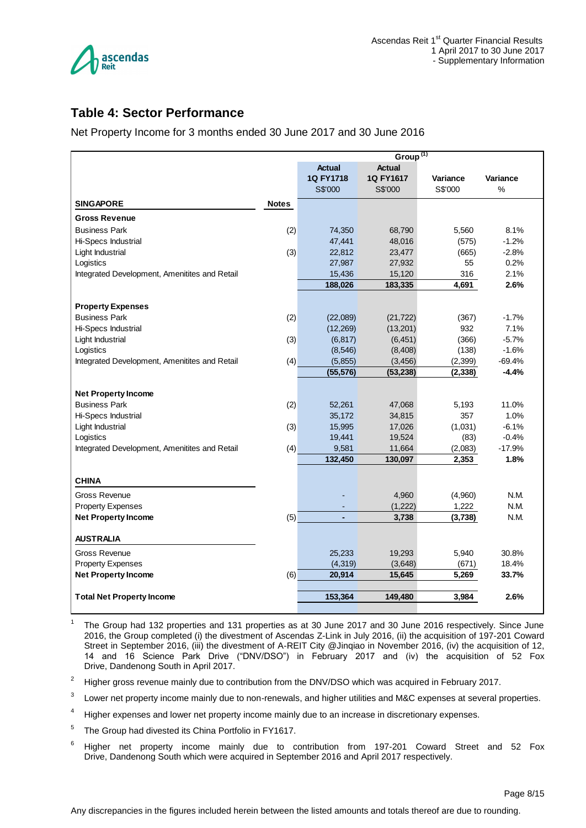

## <span id="page-7-0"></span>**Table 4: Sector Performance**

Net Property Income for 3 months ended 30 June 2017 and 30 June 2016

|                                               |              | Group <sup>(1)</sup> |               |          |          |
|-----------------------------------------------|--------------|----------------------|---------------|----------|----------|
|                                               |              | <b>Actual</b>        | <b>Actual</b> |          |          |
|                                               |              | 1Q FY1718            | 1Q FY1617     | Variance | Variance |
|                                               |              | S\$'000              | S\$'000       | S\$'000  | %        |
| <b>SINGAPORE</b>                              | <b>Notes</b> |                      |               |          |          |
| <b>Gross Revenue</b>                          |              |                      |               |          |          |
| <b>Business Park</b>                          | (2)          | 74,350               | 68,790        | 5,560    | 8.1%     |
| Hi-Specs Industrial                           |              | 47,441               | 48,016        | (575)    | $-1.2%$  |
| Light Industrial                              | (3)          | 22,812               | 23,477        | (665)    | $-2.8%$  |
| Logistics                                     |              | 27,987               | 27,932        | 55       | 0.2%     |
| Integrated Development, Amenitites and Retail |              | 15,436               | 15,120        | 316      | 2.1%     |
|                                               |              | 188,026              | 183,335       | 4,691    | 2.6%     |
|                                               |              |                      |               |          |          |
| <b>Property Expenses</b>                      |              |                      |               |          |          |
| <b>Business Park</b>                          | (2)          | (22,089)             | (21, 722)     | (367)    | $-1.7%$  |
| Hi-Specs Industrial                           |              | (12, 269)            | (13,201)      | 932      | 7.1%     |
| Light Industrial                              | (3)          | (6, 817)             | (6, 451)      | (366)    | $-5.7%$  |
| Logistics                                     |              | (8, 546)             | (8,408)       | (138)    | $-1.6%$  |
| Integrated Development, Amenitites and Retail | (4)          | (5,855)              | (3, 456)      | (2,399)  | $-69.4%$ |
|                                               |              | (55, 576)            | (53, 238)     | (2, 338) | $-4.4%$  |
| <b>Net Property Income</b>                    |              |                      |               |          |          |
| <b>Business Park</b>                          | (2)          | 52,261               | 47,068        | 5,193    | 11.0%    |
| Hi-Specs Industrial                           |              | 35,172               | 34,815        | 357      | 1.0%     |
| Light Industrial                              | (3)          | 15,995               | 17,026        | (1,031)  | $-6.1%$  |
| Logistics                                     |              | 19,441               | 19,524        | (83)     | $-0.4%$  |
| Integrated Development, Amenitites and Retail | (4)          | 9,581                | 11,664        | (2,083)  | $-17.9%$ |
|                                               |              | 132,450              | 130,097       | 2,353    | 1.8%     |
|                                               |              |                      |               |          |          |
| <b>CHINA</b>                                  |              |                      |               |          |          |
| Gross Revenue                                 |              |                      | 4,960         | (4,960)  | N.M.     |
| <b>Property Expenses</b>                      |              |                      | (1, 222)      | 1,222    | N.M.     |
| <b>Net Property Income</b>                    | (5)          |                      | 3,738         | (3,738)  | N.M.     |
| <b>AUSTRALIA</b>                              |              |                      |               |          |          |
| Gross Revenue                                 |              | 25,233               | 19,293        | 5,940    | 30.8%    |
| <b>Property Expenses</b>                      |              | (4, 319)             | (3,648)       | (671)    | 18.4%    |
| <b>Net Property Income</b>                    | (6)          | 20,914               | 15,645        | 5,269    | 33.7%    |
|                                               |              |                      |               |          |          |
| <b>Total Net Property Income</b>              |              | 153,364              | 149,480       | 3,984    | 2.6%     |

<sup>1</sup>The Group had 132 properties and 131 properties as at 30 June 2017 and 30 June 2016 respectively. Since June 2016, the Group completed (i) the divestment of Ascendas Z-Link in July 2016, (ii) the acquisition of 197-201 Coward Street in September 2016, (iii) the divestment of A-REIT City @Jinqiao in November 2016, (iv) the acquisition of 12, 14 and 16 Science Park Drive ("DNV/DSO") in February 2017 and (iv) the acquisition of 52 Fox Drive, Dandenong South in April 2017.

 $2^2$  Higher gross revenue mainly due to contribution from the DNV/DSO which was acquired in February 2017.

- 3 Lower net property income mainly due to non-renewals, and higher utilities and M&C expenses at several properties.
- <sup>4</sup> Higher expenses and lower net property income mainly due to an increase in discretionary expenses.
- 5 The Group had divested its China Portfolio in FY1617.
- <sup>6</sup> Higher net property income mainly due to contribution from 197-201 Coward Street and 52 Fox Drive, Dandenong South which were acquired in September 2016 and April 2017 respectively.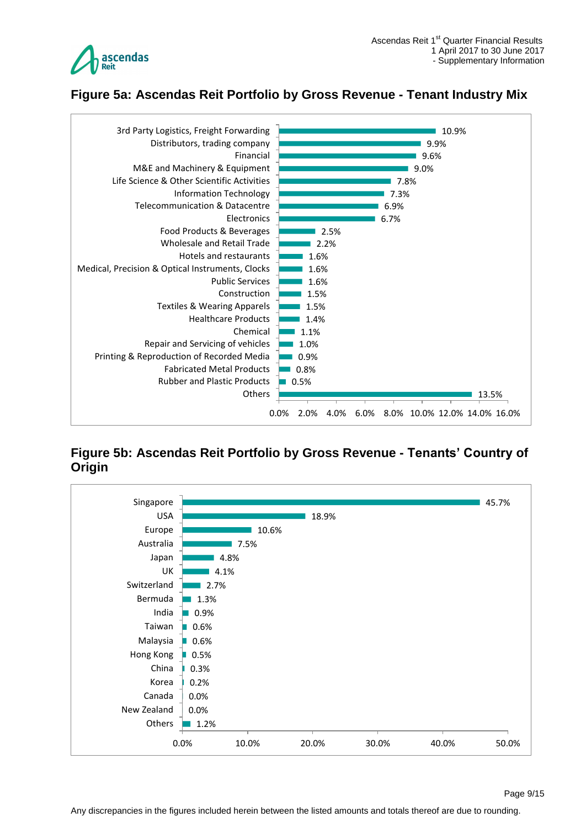

# <span id="page-8-0"></span>**Figure 5a: Ascendas Reit Portfolio by Gross Revenue - Tenant Industry Mix**



## <span id="page-8-1"></span>**Figure 5b: Ascendas Reit Portfolio by Gross Revenue - Tenants' Country of Origin**

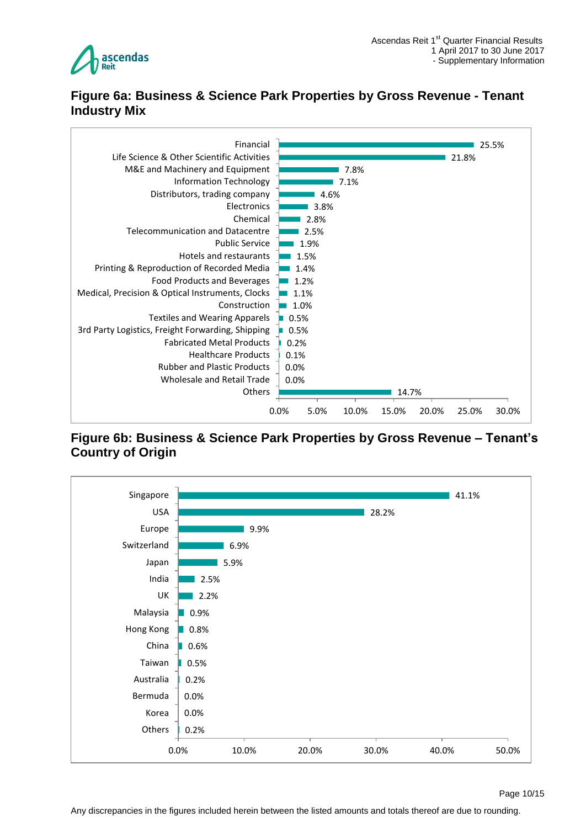

## <span id="page-9-0"></span>**Figure 6a: Business & Science Park Properties by Gross Revenue - Tenant Industry Mix**



<span id="page-9-1"></span>**Figure 6b: Business & Science Park Properties by Gross Revenue – Tenant's Country of Origin**

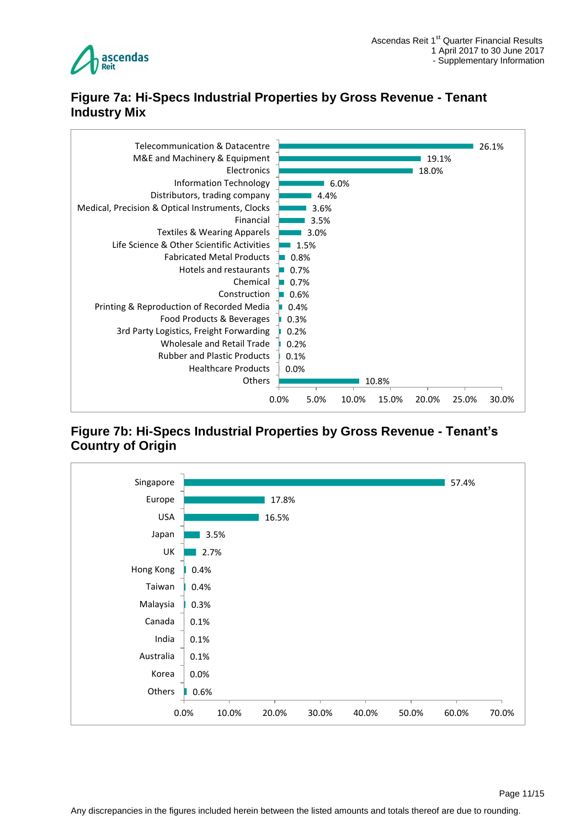

## <span id="page-10-0"></span>**Figure 7a: Hi-Specs Industrial Properties by Gross Revenue - Tenant Industry Mix**



#### <span id="page-10-1"></span>**Figure 7b: Hi-Specs Industrial Properties by Gross Revenue - Tenant's Country of Origin**

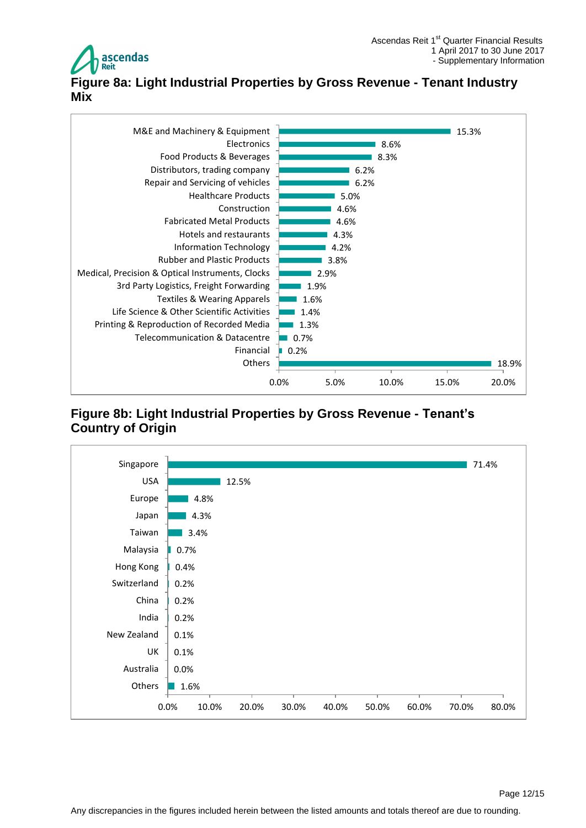

<span id="page-11-0"></span>**Figure 8a: Light Industrial Properties by Gross Revenue - Tenant Industry Mix**



#### <span id="page-11-1"></span>**Figure 8b: Light Industrial Properties by Gross Revenue - Tenant's Country of Origin**

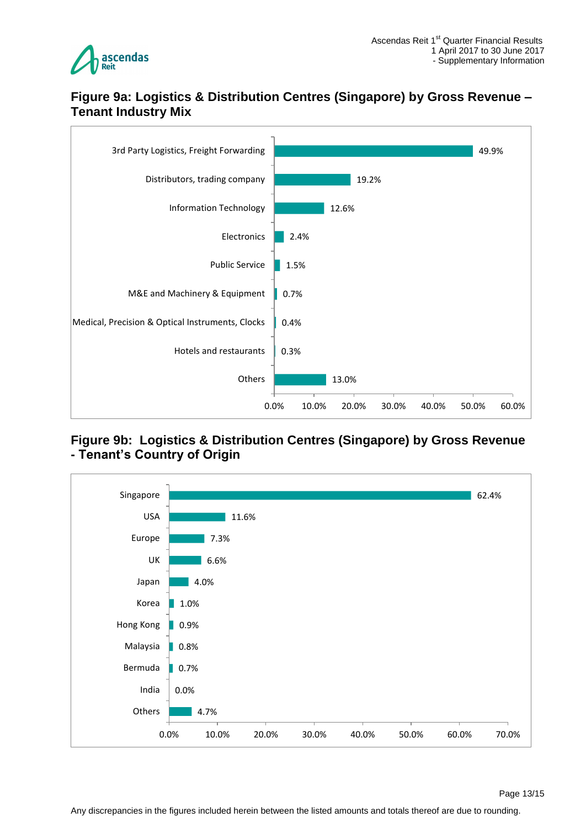

#### <span id="page-12-0"></span>**Figure 9a: Logistics & Distribution Centres (Singapore) by Gross Revenue – Tenant Industry Mix**



#### <span id="page-12-1"></span>**Figure 9b: Logistics & Distribution Centres (Singapore) by Gross Revenue - Tenant's Country of Origin**

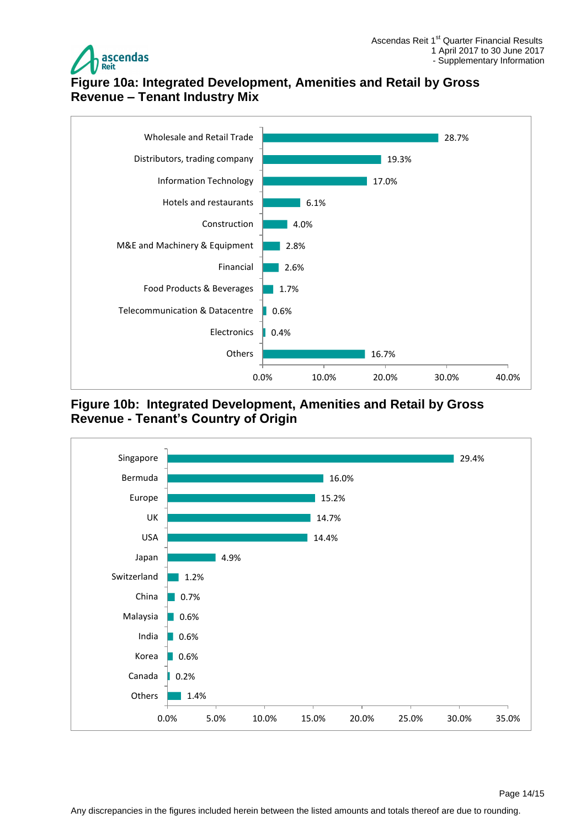

## <span id="page-13-0"></span>**Figure 10a: Integrated Development, Amenities and Retail by Gross Revenue – Tenant Industry Mix**



#### <span id="page-13-1"></span>**Figure 10b: Integrated Development, Amenities and Retail by Gross Revenue - Tenant's Country of Origin**